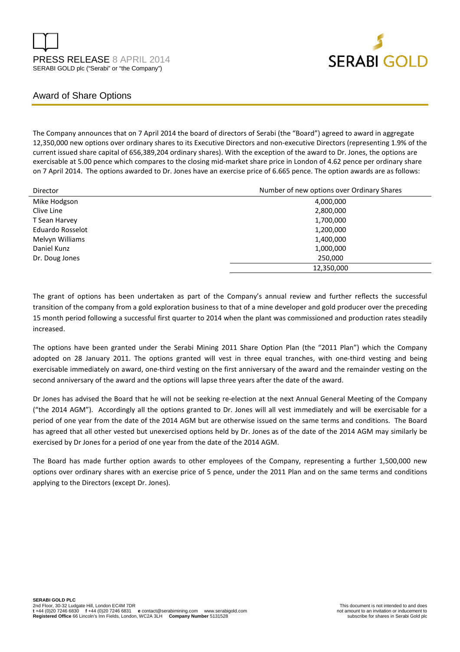



### Award of Share Options

The Company announces that on 7 April 2014 the board of directors of Serabi (the "Board") agreed to award in aggregate 12,350,000 new options over ordinary shares to its Executive Directors and non-executive Directors (representing 1.9% of the current issued share capital of 656,389,204 ordinary shares). With the exception of the award to Dr. Jones, the options are exercisable at 5.00 pence which compares to the closing mid-market share price in London of 4.62 pence per ordinary share on 7 April 2014. The options awarded to Dr. Jones have an exercise price of 6.665 pence. The option awards are as follows:

| Director         | Number of new options over Ordinary Shares |
|------------------|--------------------------------------------|
| Mike Hodgson     | 4,000,000                                  |
| Clive Line       | 2,800,000                                  |
| T Sean Harvey    | 1,700,000                                  |
| Eduardo Rosselot | 1,200,000                                  |
| Melvyn Williams  | 1,400,000                                  |
| Daniel Kunz      | 1,000,000                                  |
| Dr. Doug Jones   | 250,000                                    |
|                  | 12,350,000                                 |

The grant of options has been undertaken as part of the Company's annual review and further reflects the successful transition of the company from a gold exploration business to that of a mine developer and gold producer over the preceding 15 month period following a successful first quarter to 2014 when the plant was commissioned and production rates steadily increased.

The options have been granted under the Serabi Mining 2011 Share Option Plan (the "2011 Plan") which the Company adopted on 28 January 2011. The options granted will vest in three equal tranches, with one-third vesting and being exercisable immediately on award, one-third vesting on the first anniversary of the award and the remainder vesting on the second anniversary of the award and the options will lapse three years after the date of the award.

Dr Jones has advised the Board that he will not be seeking re-election at the next Annual General Meeting of the Company ("the 2014 AGM"). Accordingly all the options granted to Dr. Jones will all vest immediately and will be exercisable for a period of one year from the date of the 2014 AGM but are otherwise issued on the same terms and conditions. The Board has agreed that all other vested but unexercised options held by Dr. Jones as of the date of the 2014 AGM may similarly be exercised by Dr Jones for a period of one year from the date of the 2014 AGM.

The Board has made further option awards to other employees of the Company, representing a further 1,500,000 new options over ordinary shares with an exercise price of 5 pence, under the 2011 Plan and on the same terms and conditions applying to the Directors (except Dr. Jones).